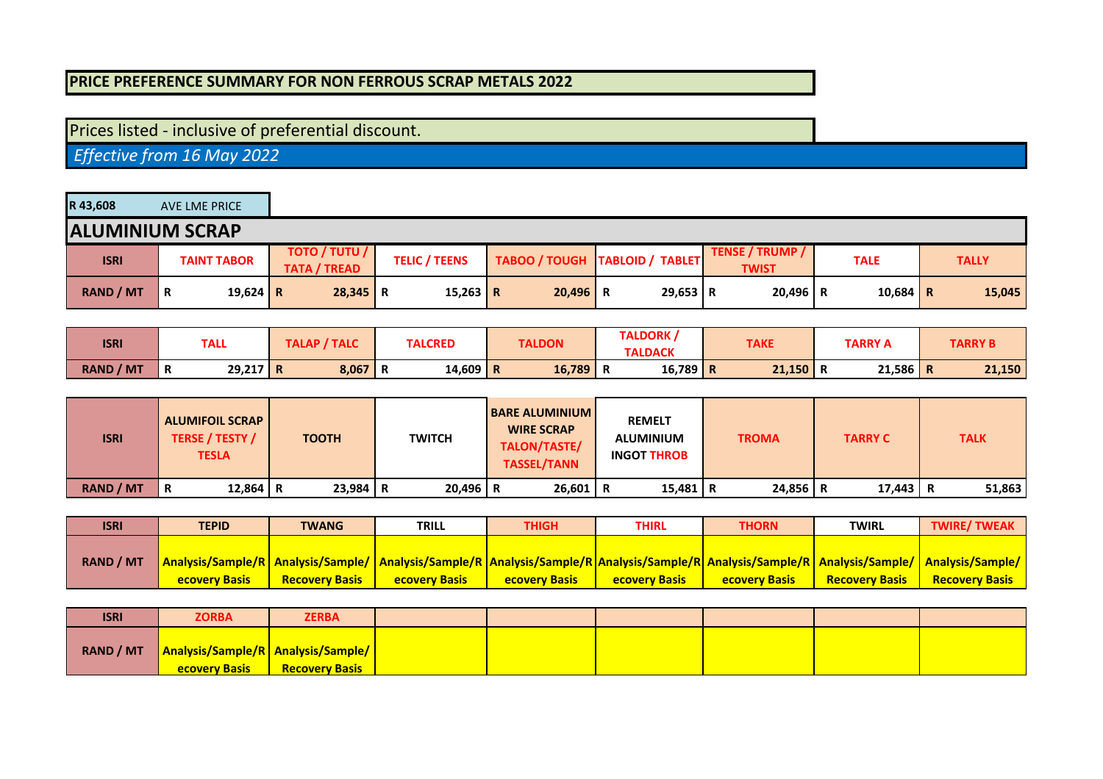## **PRICE PREFERENCE SUMMARY FOR NON FERROUS SCRAP METALS 2022**

## Prices listed - inclusive of preferential discount.

 *Effective from 16 May 2022*

| R43,608          | AVE LME PRICE          |                                             |                      |            |                                  |                                 |             |              |
|------------------|------------------------|---------------------------------------------|----------------------|------------|----------------------------------|---------------------------------|-------------|--------------|
|                  | <b>ALUMINIUM SCRAP</b> |                                             |                      |            |                                  |                                 |             |              |
| <b>ISRI</b>      | <b>TAINT TABOR</b>     | <b>TOTO / TUTU /</b><br><b>TATA / TREAD</b> | <b>TELIC / TEENS</b> |            | TABOO / TOUGH   TABLOID / TABLET | TENSE / TRUMP /<br><b>TWIST</b> | <b>TALE</b> | <b>TALLY</b> |
| <b>RAND / MT</b> | 19,624 R<br>R          | $28,345$ R                                  | 15,263 R             | $20,496$ R | $29,653$ R                       | $20,496$ R                      | 10,684   R  | 15,045       |

| <b>ISRI</b>      | TALL            | TALAP / TALC | <b>TALCRED</b> | <b>TALDON</b> | TALDORK,<br><b>TALDACK</b> | <b>TAKE</b> | <b>TARRY A</b> | <b>TARRY B</b> |
|------------------|-----------------|--------------|----------------|---------------|----------------------------|-------------|----------------|----------------|
| <b>RAND / MT</b> | $29,217$ R<br>R | $8,067$ R    | $14,609$ R     | 16,789        | $16,789$ R<br>n.           | 21,150      | 21,586         | 21,150<br>n    |

| <b>ISRI</b>      | <b>ALUMIFOIL SCRAP</b><br><b>TERSE / TESTY /</b><br><b>TESLA</b> | <b>TOOTH</b> | <b>TWITCH</b> | <b>BARE ALUMINIUM</b><br><b>WIRE SCRAP</b><br>TALON/TASTE/<br><b>TASSEL/TANN</b> | <b>REMELT</b><br><b>ALUMINIUM</b><br><b>INGOT THROB</b> | <b>TROMA</b> | <b>TARRY C</b> | <b>TALK</b> |
|------------------|------------------------------------------------------------------|--------------|---------------|----------------------------------------------------------------------------------|---------------------------------------------------------|--------------|----------------|-------------|
| <b>RAND / MT</b> | 12,864 R<br>R                                                    | $23,984$ R   | $20,496$ R    | $26,601$ R                                                                       | $15,481$ R                                              | $24,856$ R   | 17,443         | 51,863      |

| <b>ISRI</b>      | <b>TEPID</b>         | <b>TWANG</b>          | <b>TRILL</b>                                                                                                                                                                  | <b>THIGH</b>          | THIRL                | THORN                | <b>TWIRL</b>          | <b>TWIRE/TWEAK</b>    |
|------------------|----------------------|-----------------------|-------------------------------------------------------------------------------------------------------------------------------------------------------------------------------|-----------------------|----------------------|----------------------|-----------------------|-----------------------|
|                  |                      |                       |                                                                                                                                                                               |                       |                      |                      |                       |                       |
| <b>RAND / MT</b> |                      |                       | Analysis/Sample/R   Analysis/Sample/   Analysis/Sample/R   Analysis/Sample/R   Analysis/Sample/R   Analysis/Sample/R   Analysis/Sample/   Analysis/Sample/   Analysis/Sample/ |                       |                      |                      |                       |                       |
|                  | <b>ecovery Basis</b> | <b>Recovery Basis</b> | <b>ecovery Basis</b>                                                                                                                                                          | <b>Recovery Basis</b> | <b>ecovery Basis</b> | <b>ecovery Basis</b> | <b>Recovery Basis</b> | <b>Recovery Basis</b> |

| <b>ISRI</b>      | <b>ZORBA</b>                                                          | <b>ZERBA</b>          |  |  |  |
|------------------|-----------------------------------------------------------------------|-----------------------|--|--|--|
| <b>RAND / MT</b> | <b>Analysis/Sample/R   Analysis/Sample/  </b><br><b>ecovery Basis</b> | <b>Recovery Basis</b> |  |  |  |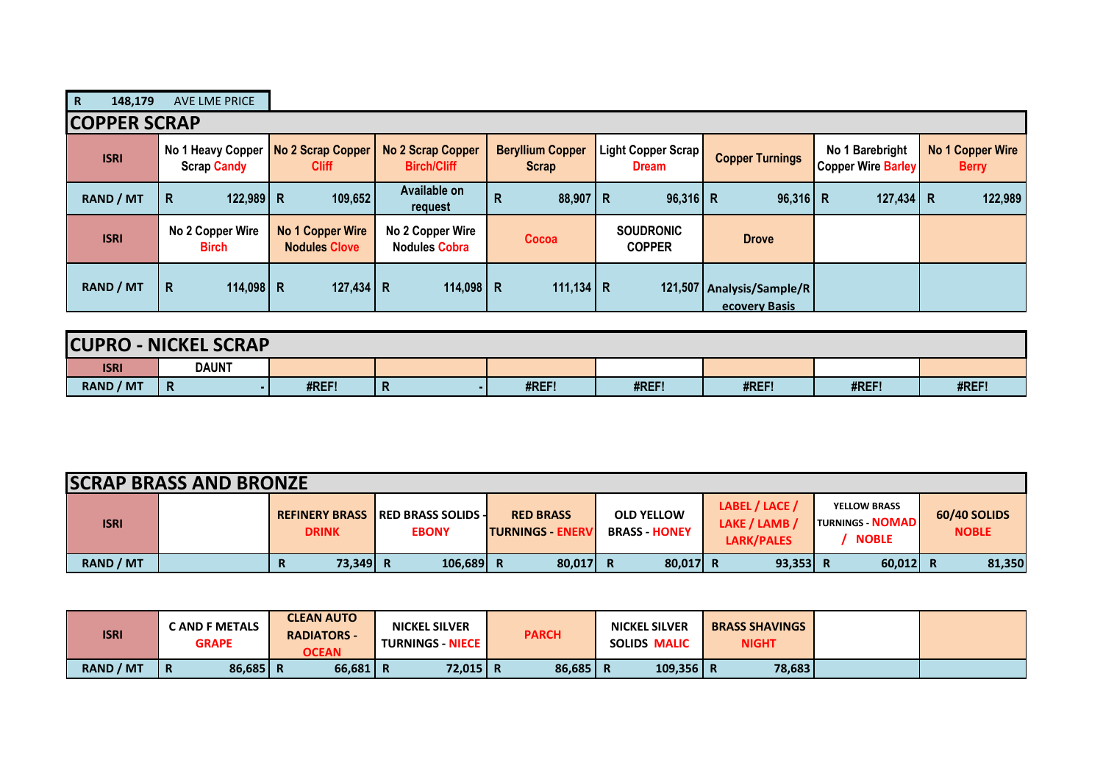| $\mathbf R$<br>148,179 | <b>AVE LME PRICE</b>                    |                                          |                                                |                                         |                                    |                                                |                                              |                                         |  |  |  |
|------------------------|-----------------------------------------|------------------------------------------|------------------------------------------------|-----------------------------------------|------------------------------------|------------------------------------------------|----------------------------------------------|-----------------------------------------|--|--|--|
|                        | <b>COPPER SCRAP</b>                     |                                          |                                                |                                         |                                    |                                                |                                              |                                         |  |  |  |
| <b>ISRI</b>            | No 1 Heavy Copper<br><b>Scrap Candy</b> | No 2 Scrap Copper<br><b>Cliff</b>        | <b>No 2 Scrap Copper</b><br><b>Birch/Cliff</b> | <b>Beryllium Copper</b><br><b>Scrap</b> | Light Copper Scrap<br><b>Dream</b> | <b>Copper Turnings</b>                         | No 1 Barebright<br><b>Copper Wire Barley</b> | <b>No 1 Copper Wire</b><br><b>Berry</b> |  |  |  |
| <b>RAND / MT</b>       | $122,989$ R<br>R                        | 109,652                                  | Available on<br>request                        | $88,907$ R<br>R                         | $96,316$ R                         | $96,316$ R                                     | $127,434$ R                                  | 122,989                                 |  |  |  |
| <b>ISRI</b>            | No 2 Copper Wire<br><b>Birch</b>        | No 1 Copper Wire<br><b>Nodules Clove</b> | No 2 Copper Wire<br><b>Nodules Cobra</b>       | Cocoa                                   | <b>SOUDRONIC</b><br><b>COPPER</b>  | <b>Drove</b>                                   |                                              |                                         |  |  |  |
| <b>RAND / MT</b>       | R<br>114,098 R                          | 127,434 R                                | 114,098   R                                    | 111,134 R                               |                                    | 121,507   Analysis/Sample/R  <br>ecovery Basis |                                              |                                         |  |  |  |

| <b>CUPRO</b>     | <b>J-NICKEL SCRAP</b> |       |   |       |       |       |       |       |
|------------------|-----------------------|-------|---|-------|-------|-------|-------|-------|
| <b>ISRI</b>      | <b>DAUNT</b>          |       |   |       |       |       |       |       |
| <b>RAND / MT</b> | $\mathsf{R}$          | #REF! | n | #REF! | #REF! | #REF! | #REF! | #REF! |

| <b>SCRAP BRASS AND BRONZE</b> |  |               |                                                           |                                              |                                           |                                               |                                                                |                              |  |
|-------------------------------|--|---------------|-----------------------------------------------------------|----------------------------------------------|-------------------------------------------|-----------------------------------------------|----------------------------------------------------------------|------------------------------|--|
| <b>ISRI</b>                   |  | <b>DRINK</b>  | <b>REFINERY BRASS IRED BRASS SOLIDS -</b><br><b>EBONY</b> | <b>RED BRASS</b><br><b>ITURNINGS - ENERV</b> | <b>OLD YELLOW</b><br><b>BRASS - HONEY</b> | LABEL / LACE /<br>LAKE / LAMB /<br>LARK/PALES | <b>YELLOW BRASS</b><br><b>TURNINGS - NOMAD</b><br><b>NOBLE</b> | 60/40 SOLIDS<br><b>NOBLE</b> |  |
| <b>RAND / MT</b>              |  | 73.349 R<br>R | $106,689$ R                                               | 80,017 R                                     | $80,017$ R                                | $93,353$ R                                    | $60,012$ R                                                     | 81,350                       |  |

| <b>ISRI</b>      | <b>CAND F METALS</b><br><b>GRAPE</b> | <b>CLEAN AUTO</b><br><b>RADIATORS -</b><br><b>OCEAN</b> | <b>NICKEL SILVER</b><br><b>TURNINGS - NIECE  </b> | <b>PARCH</b> | <b>NICKEL SILVER</b><br>SOLIDS MALIC | <b>BRASS SHAVINGS</b><br><b>NIGHT</b> |  |
|------------------|--------------------------------------|---------------------------------------------------------|---------------------------------------------------|--------------|--------------------------------------|---------------------------------------|--|
| <b>RAND / MT</b> | 86,685 R<br>Ð<br>n                   | 66,681                                                  | 72,015 R                                          | 86,685       | 109,356   R<br>Ð                     | 78,683                                |  |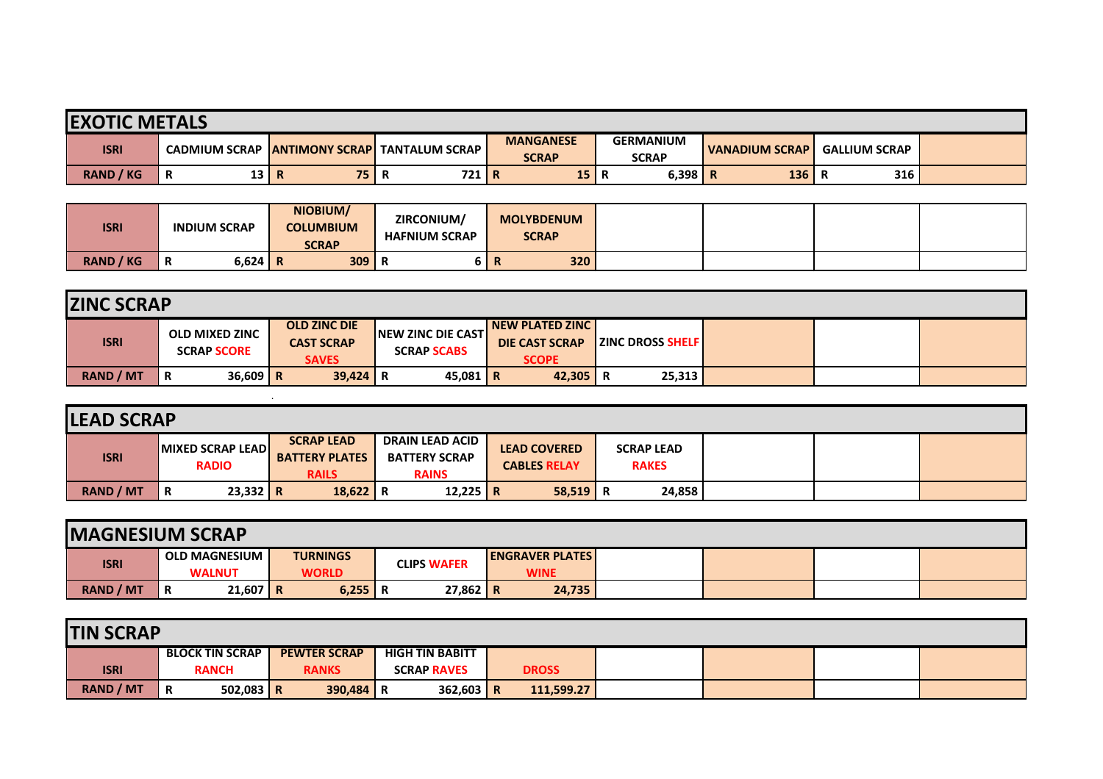| <b>EXOTIC METALS</b> |                      |                         |                         |                                  |                                  |                       |                      |  |  |
|----------------------|----------------------|-------------------------|-------------------------|----------------------------------|----------------------------------|-----------------------|----------------------|--|--|
| <b>ISRI</b>          | <b>CADMIUM SCRAP</b> | <b>IANTIMONY SCRAPI</b> | <b>TANTALUM SCRAP I</b> | <b>MANGANESE</b><br><b>SCRAP</b> | <b>GERMANIUM</b><br><b>SCRAP</b> | <b>VANADIUM SCRAP</b> | <b>GALLIUM SCRAP</b> |  |  |
| <b>RAND / KG</b>     | 13 R<br>Ð<br>в       | 75                      | 721 R<br>n.             | 15                               | 6,398                            | 136<br>-R             | 316                  |  |  |

| <b>ISRI</b>      | <b>INDIUM SCRAP</b> | NIOBIUM/<br><b>COLUMBIUM</b><br><b>SCRAP</b> | ZIRCONIUM/<br><b>HAFNIUM SCRAP</b> | <b>MOLYBDENUM</b><br><b>SCRAP</b> |     |  |  |
|------------------|---------------------|----------------------------------------------|------------------------------------|-----------------------------------|-----|--|--|
| <b>RAND / KG</b> | $6,624$ R<br>n      | 309                                          |                                    |                                   | 320 |  |  |

| <b>ZINC SCRAP</b> |                                             |                                                          |                                                  |                                                                    |                         |  |  |  |  |
|-------------------|---------------------------------------------|----------------------------------------------------------|--------------------------------------------------|--------------------------------------------------------------------|-------------------------|--|--|--|--|
| <b>ISRI</b>       | <b>OLD MIXED ZINC</b><br><b>SCRAP SCORE</b> | <b>OLD ZINC DIE</b><br><b>CAST SCRAP</b><br><b>SAVES</b> | <b>INEW ZINC DIE CASTI</b><br><b>SCRAP SCABS</b> | <b>INEW PLATED ZINC I</b><br><b>DIE CAST SCRAP</b><br><b>SCOPE</b> | <b>ZINC DROSS SHELF</b> |  |  |  |  |
| <b>RAND / MT</b>  | $36,609$ R<br>R                             | $39,424$ R                                               | 45,081   R                                       | 42,305                                                             | 25,313                  |  |  |  |  |

| <b>LEAD SCRAP</b> |                                         |                                                            |                                                                |                                            |                                   |  |  |  |  |  |  |  |
|-------------------|-----------------------------------------|------------------------------------------------------------|----------------------------------------------------------------|--------------------------------------------|-----------------------------------|--|--|--|--|--|--|--|
| <b>ISRI</b>       | <b>MIXED SCRAP LEAD</b><br><b>RADIO</b> | <b>SCRAP LEAD</b><br><b>BATTERY PLATES</b><br><b>RAILS</b> | <b>DRAIN LEAD ACID</b><br><b>BATTERY SCRAP</b><br><b>RAINS</b> | <b>LEAD COVERED</b><br><b>CABLES RELAY</b> | <b>SCRAP LEAD</b><br><b>RAKES</b> |  |  |  |  |  |  |  |
| <b>RAND / MT</b>  | $23,332$ R<br>R                         | $18,622$ R                                                 | 12,225 R                                                       | $58,519$ R                                 | 24,858                            |  |  |  |  |  |  |  |

| <b>IMAGNESIUM SCRAP</b> |                                       |                                 |                    |                                       |  |  |  |  |  |  |  |
|-------------------------|---------------------------------------|---------------------------------|--------------------|---------------------------------------|--|--|--|--|--|--|--|
| <b>ISRI</b>             | <b>OLD MAGNESIUM</b><br><b>WALNUT</b> | <b>TURNINGS</b><br><b>WORLD</b> | <b>CLIPS WAFER</b> | <b>ENGRAVER PLATES</b><br><b>WINE</b> |  |  |  |  |  |  |  |
| <b>RAND / MT</b>        | $21,607$ R<br>Ð<br>R                  | $6,255$   R                     | 27,862 R           | 24,735                                |  |  |  |  |  |  |  |

| <b>TIN SCRAP</b> |                  |                        |             |  |                     |                        |             |  |              |  |  |  |
|------------------|------------------|------------------------|-------------|--|---------------------|------------------------|-------------|--|--------------|--|--|--|
|                  |                  | <b>BLOCK TIN SCRAP</b> |             |  | <b>PEWTER SCRAP</b> | <b>HIGH TIN BABITT</b> |             |  |              |  |  |  |
|                  | <b>ISRI</b>      | <b>RANCH</b>           |             |  | <b>RANKS</b>        | <b>SCRAP RAVES</b>     |             |  | <b>DROSS</b> |  |  |  |
|                  | <b>RAND / MT</b> | R                      | $502,083$ R |  | $390,484$ R         |                        | $362,603$ R |  | 111,599.27   |  |  |  |